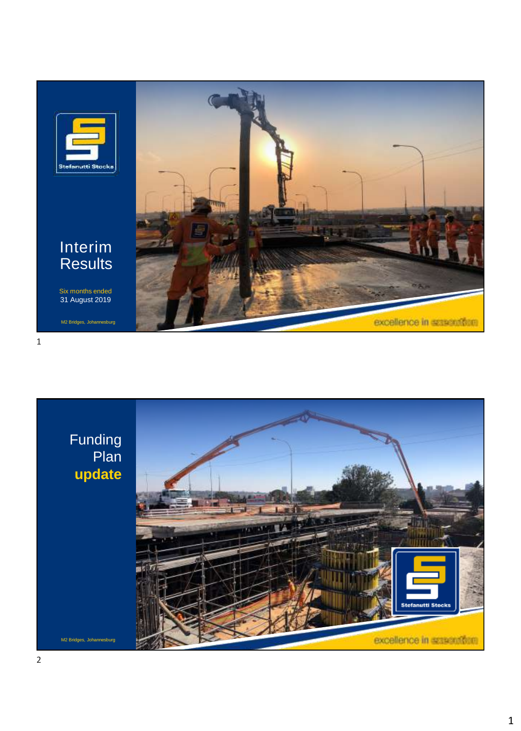

Interim **Results** 

Six months ended 31 August 2019

M2 Bridges, Johannesburg

 $\mathbf{1}$ 



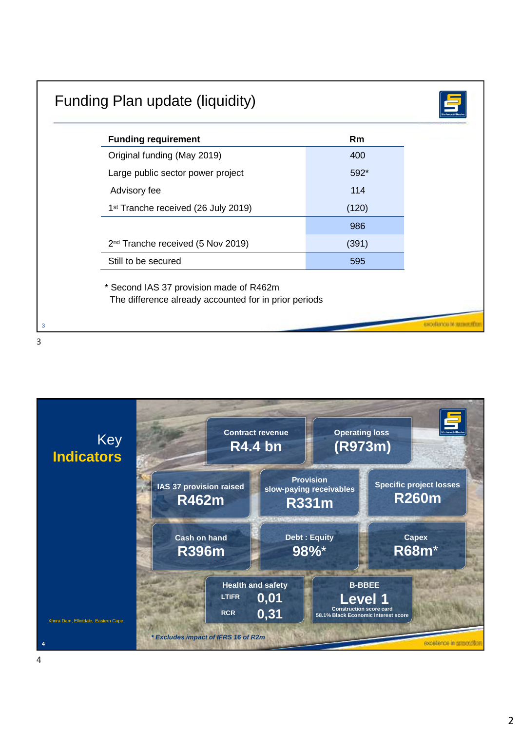| <b>Funding requirement</b>                                                                       | <b>Rm</b> |
|--------------------------------------------------------------------------------------------------|-----------|
| Original funding (May 2019)                                                                      | 400       |
| Large public sector power project                                                                | 592*      |
| Advisory fee                                                                                     | 114       |
| 1 <sup>st</sup> Tranche received (26 July 2019)                                                  | (120)     |
|                                                                                                  | 986       |
| 2 <sup>nd</sup> Tranche received (5 Nov 2019)                                                    | (391)     |
| Still to be secured                                                                              | 595       |
| * Second IAS 37 provision made of R462m<br>The difference already accounted for in prior periods |           |

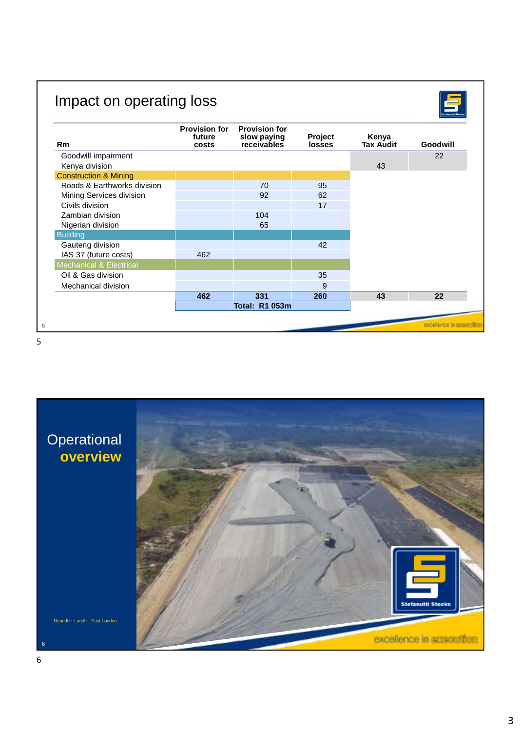# Impact on operating loss

Stafanati Stocks

| <b>Rm</b>                          | <b>Provision for</b><br>future<br>costs | <b>Provision for</b><br>slow paying<br>receivables | Project<br><b>losses</b> | Kenya<br><b>Tax Audit</b> | Goodwill             |
|------------------------------------|-----------------------------------------|----------------------------------------------------|--------------------------|---------------------------|----------------------|
| Goodwill impairment                |                                         |                                                    |                          |                           | 22                   |
| Kenya division                     |                                         |                                                    |                          | 43                        |                      |
| <b>Construction &amp; Mining</b>   |                                         |                                                    |                          |                           |                      |
| Roads & Earthworks division        |                                         | 70                                                 | 95                       |                           |                      |
| Mining Services division           |                                         | 92                                                 | 62                       |                           |                      |
| Civils division                    |                                         |                                                    | 17                       |                           |                      |
| Zambian division                   |                                         | 104                                                |                          |                           |                      |
| Nigerian division                  |                                         | 65                                                 |                          |                           |                      |
| <b>Building</b>                    |                                         |                                                    |                          |                           |                      |
| Gauteng division                   |                                         |                                                    | 42                       |                           |                      |
| IAS 37 (future costs)              | 462                                     |                                                    |                          |                           |                      |
| <b>Mechanical &amp; Electrical</b> |                                         |                                                    |                          |                           |                      |
| Oil & Gas division                 |                                         |                                                    | 35                       |                           |                      |
| Mechanical division                |                                         |                                                    | 9                        |                           |                      |
|                                    | 462                                     | 331                                                | 260                      | 43                        | 22                   |
|                                    |                                         | <b>Total: R1 053m</b>                              |                          |                           |                      |
|                                    |                                         |                                                    |                          |                           |                      |
|                                    |                                         |                                                    |                          |                           | excellence in assast |



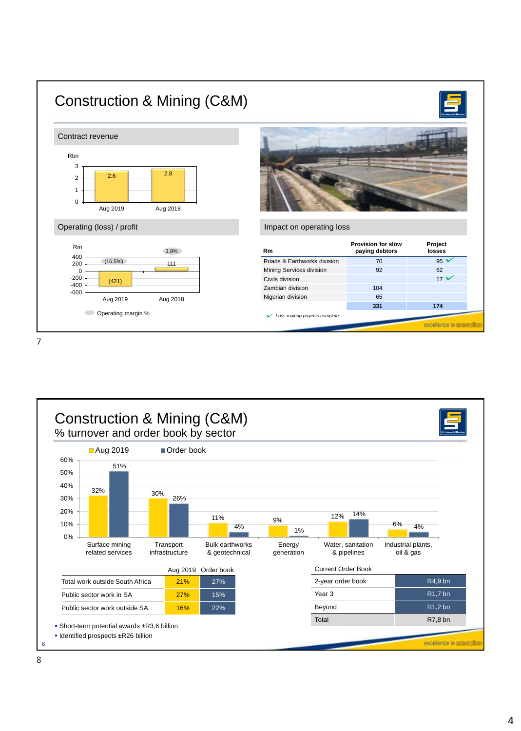

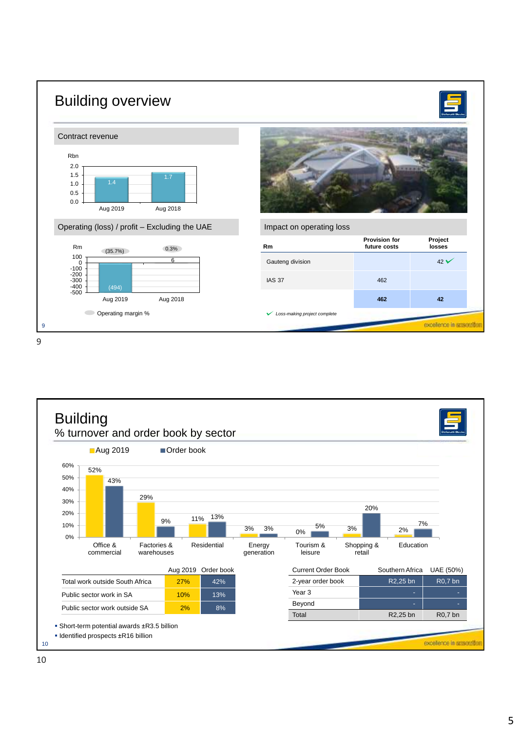

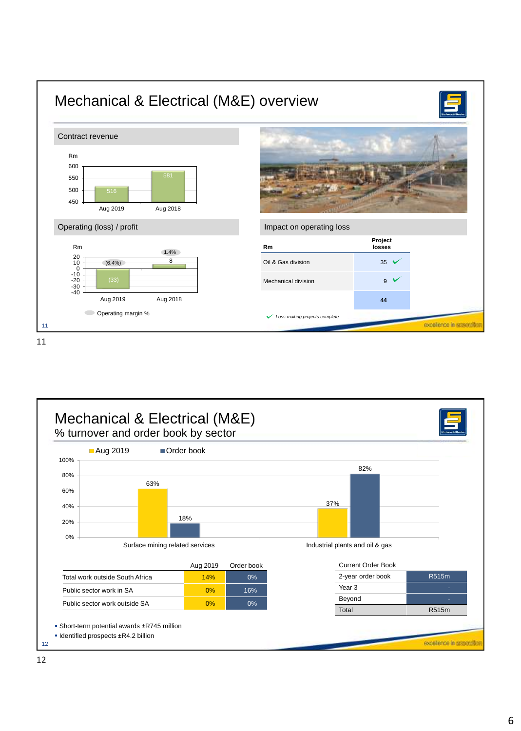

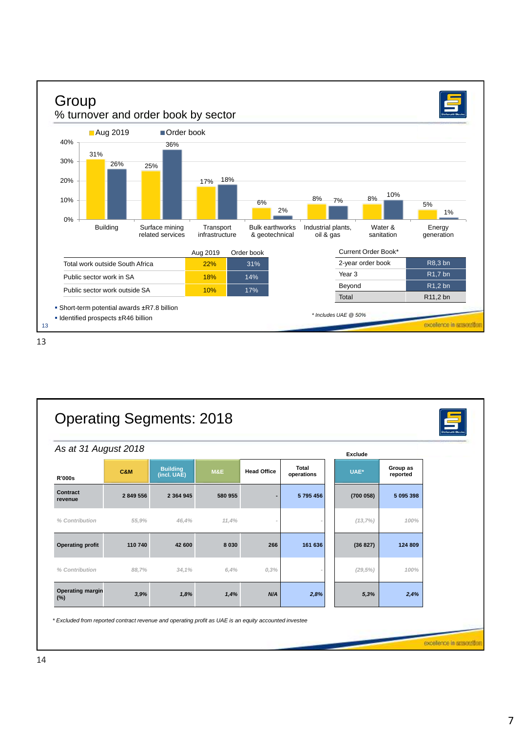

| As at 31 August 2018           |                |                                |                |                    |                     | Exclude     |                      |
|--------------------------------|----------------|--------------------------------|----------------|--------------------|---------------------|-------------|----------------------|
| <b>R'000s</b>                  | <b>C&amp;M</b> | <b>Building</b><br>(incl. UAE) | <b>M&amp;E</b> | <b>Head Office</b> | Total<br>operations | UAE*        | Group as<br>reported |
| Contract<br>revenue            | 2 849 556      | 2 3 6 4 9 4 5                  | 580 955        |                    | 5795456             | (700058)    | 5 095 398            |
| % Contribution                 | 55,9%          | 46,4%                          | 11,4%          |                    |                     | (13,7%)     | 100%                 |
| <b>Operating profit</b>        | 110 740        | 42 600                         | 8 0 3 0        | 266                | 161 636             | (36827)     | 124 809              |
| % Contribution                 | 88,7%          | 34,1%                          | 6,4%           | 0,3%               |                     | $(29, 5\%)$ | 100%                 |
| <b>Operating margin</b><br>(%) | 3,9%           | 1,8%                           | 1,4%           | N/A                | 2,8%                | 5,3%        | 2,4%                 |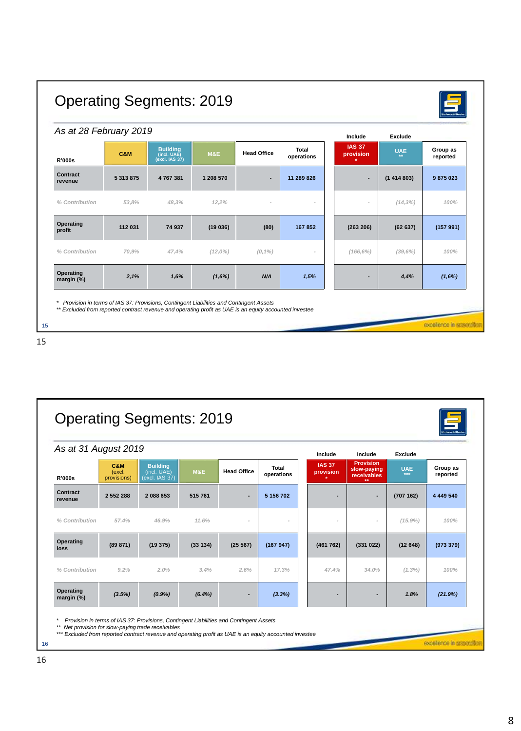| As at 28 February 2019  |           |                                                  |                |                    |                     | Include                    | <b>Exclude</b> |                      |
|-------------------------|-----------|--------------------------------------------------|----------------|--------------------|---------------------|----------------------------|----------------|----------------------|
| <b>R'000s</b>           | C&M       | <b>Building</b><br>(incl. UAE)<br>(excl. IAS 37) | <b>M&amp;E</b> | <b>Head Office</b> | Total<br>operations | <b>IAS 37</b><br>provision | <b>UAE</b>     | Group as<br>reported |
| Contract<br>revenue     | 5 313 875 | 4 767 381                                        | 1 208 570      | $\overline{a}$     | 11 289 826          |                            | (1414803)      | 9 875 023            |
| % Contribution          | 53,8%     | 48,3%                                            | 12,2%          |                    |                     |                            | $(14, 3\%)$    | 100%                 |
| Operating<br>profit     | 112 031   | 74 937                                           | (19036)        | (80)               | 167 852             | (263 206)                  | (62637)        | (157991)             |
| % Contribution          | 70,9%     | 47,4%                                            | $(12,0\%)$     | $(0,1\%)$          |                     | $(166, 6\%)$               | (39,6%)        | 100%                 |
| Operating<br>margin (%) | 2,1%      | 1,6%                                             | (1,6%)         | N/A                | 1,5%                |                            | 4,4%           | (1,6%)               |



| As at 31 August 2019    |                              |                                                  |                |                    |                     | Include                               | Include                                        | <b>Exclude</b>    |                      |
|-------------------------|------------------------------|--------------------------------------------------|----------------|--------------------|---------------------|---------------------------------------|------------------------------------------------|-------------------|----------------------|
| <b>R'000s</b>           | C&M<br>(excl.<br>provisions) | <b>Building</b><br>(incl. UAE)<br>(excl. IAS 37) | <b>M&amp;E</b> | <b>Head Office</b> | Total<br>operations | <b>IAS 37</b><br>provision<br>$\star$ | <b>Provision</b><br>slow-paying<br>receivables | <b>UAE</b><br>*** | Group as<br>reported |
| Contract<br>revenue     | 2 552 288                    | 2 088 653                                        | 515 761        | ٠                  | 5 156 702           |                                       |                                                | (707162)          | 4 4 4 9 5 4 0        |
| % Contribution          | 57.4%                        | 46.9%                                            | 11.6%          |                    |                     | $\overline{a}$                        |                                                | $(15.9\%)$        | 100%                 |
| Operating<br>loss       | (89 871)                     | (19375)                                          | (33134)        | (25 567)           | (167947)            | (461762)                              | (331022)                                       | (12648)           | (973 379)            |
| % Contribution          | $9.2\%$                      | 2.0%                                             | 3.4%           | 2.6%               | 17.3%               | 47.4%                                 | 34.0%                                          | $(1.3\%)$         | 100%                 |
| Operating<br>margin (%) | (3.5%)                       | (0.9%                                            | $(6.4\%)$      |                    | (3.3%)              | $\overline{\phantom{0}}$              |                                                | 1.8%              | (21.9%)              |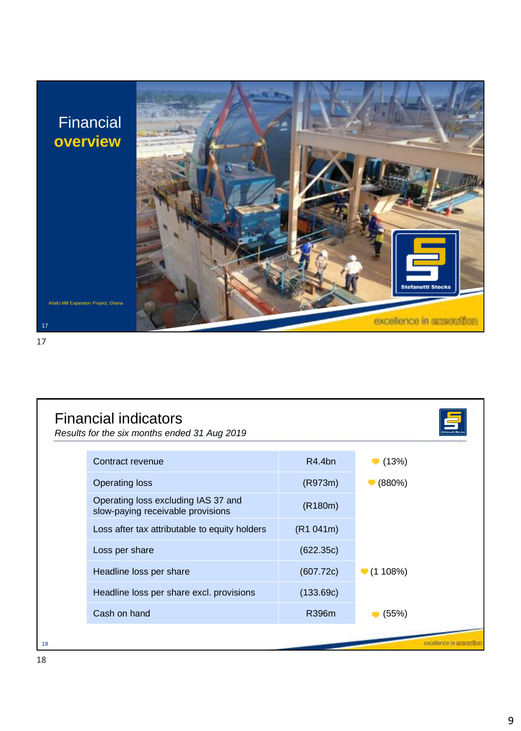## Financial **overview**

Ahafo Mill Expansion Project, Ghana



| <b>Financial indicators</b><br>Results for the six months ended 31 Aug 2019 |           |                                |
|-----------------------------------------------------------------------------|-----------|--------------------------------|
| Contract revenue                                                            | R4.4bn    | $\blacktriangledown$ (13%)     |
| <b>Operating loss</b>                                                       | (R973m)   | (880%)                         |
| Operating loss excluding IAS 37 and<br>slow-paying receivable provisions    | (R180m)   |                                |
| Loss after tax attributable to equity holders                               | (R1 041m) |                                |
| Loss per share                                                              | (622.35c) |                                |
| Headline loss per share                                                     | (607.72c) | $\blacktriangleright$ (1 108%) |
| Headline loss per share excl. provisions                                    | (133.69c) |                                |
| Cash on hand                                                                | R396m     | (55%)                          |
|                                                                             |           |                                |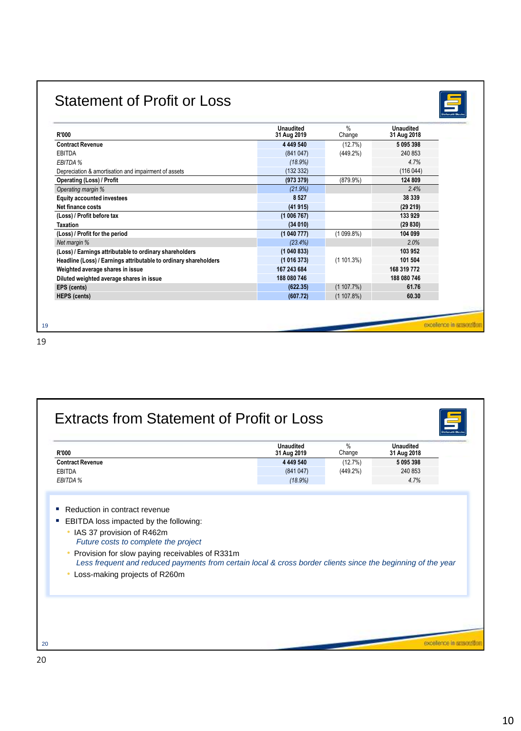### Statement of Profit or Loss



| <b>R'000</b>                                                     | Unaudited<br>31 Aug 2019 | $\%$<br>Change | <b>Unaudited</b><br>31 Aug 2018 |
|------------------------------------------------------------------|--------------------------|----------------|---------------------------------|
| <b>Contract Revenue</b>                                          | 4 449 540                | (12.7%)        | 5 095 398                       |
| EBITDA                                                           | (841047)                 | (449.2%)       | 240 853                         |
| EBITDA %                                                         | (18.9%)                  |                | 4.7%                            |
| Depreciation & amortisation and impairment of assets             | (132332)                 |                | (116044)                        |
| <b>Operating (Loss) / Profit</b>                                 | (973379)                 | $(879.9\%)$    | 124 809                         |
| Operating margin %                                               | (21.9%)                  |                | 2.4%                            |
| <b>Equity accounted investees</b>                                | 8527                     |                | 38 339                          |
| Net finance costs                                                | (41915)                  |                | (29 219)                        |
| (Loss) / Profit before tax                                       | (1006767)                |                | 133 929                         |
| <b>Taxation</b>                                                  | (34010)                  |                | (29830)                         |
| (Loss) / Profit for the period                                   | (1040777)                | (1099.8%)      | 104 099                         |
| Net margin %                                                     | (23.4%)                  |                | 2.0%                            |
| (Loss) / Earnings attributable to ordinary shareholders          | (1040833)                |                | 103 952                         |
| Headline (Loss) / Earnings attributable to ordinary shareholders | (1016373)                | (1101.3%)      | 101 504                         |
| Weighted average shares in issue                                 | 167 243 684              |                | 168 319 772                     |
| Diluted weighted average shares in issue                         | 188 080 746              |                | 188 080 746                     |
| EPS (cents)                                                      | (622.35)                 | (1107.7%)      | 61.76                           |
| <b>HEPS</b> (cents)                                              | (607.72)                 | (1107.8%)      | 60.30                           |

| <b>Contract Revenue</b><br>EBITDA                                                                                                                                                               | 4 4 4 9 5 4 0 | (12.7%)     |           |
|-------------------------------------------------------------------------------------------------------------------------------------------------------------------------------------------------|---------------|-------------|-----------|
|                                                                                                                                                                                                 |               |             | 5 095 398 |
|                                                                                                                                                                                                 | (841047)      | $(449.2\%)$ | 240 853   |
| EBITDA %                                                                                                                                                                                        | (18.9%)       |             | 4.7%      |
| Provision for slow paying receivables of R331m<br>Less frequent and reduced payments from certain local & cross border clients since the beginning of the year<br>Loss-making projects of R260m |               |             |           |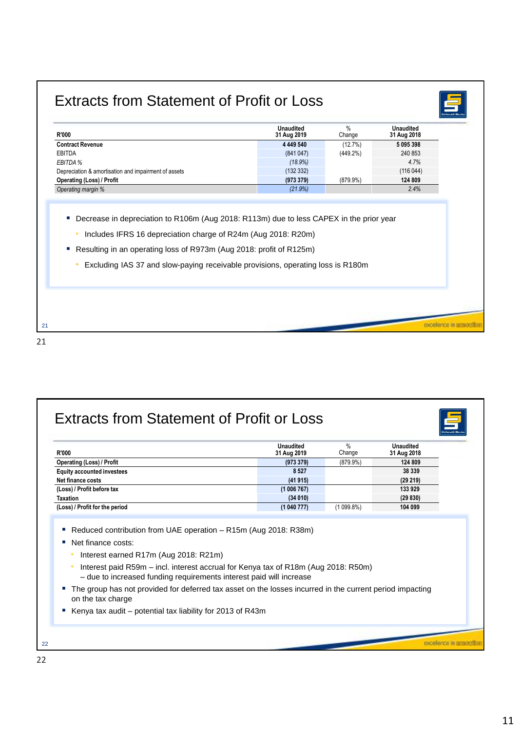#### Extracts from Statement of Profit or Loss



excellence in erase

| <b>R'000</b>                                                                                 | <b>Unaudited</b><br>31 Aug 2019 | %<br>Change | <b>Unaudited</b><br>31 Aug 2018 |
|----------------------------------------------------------------------------------------------|---------------------------------|-------------|---------------------------------|
| <b>Contract Revenue</b>                                                                      | 4 4 4 9 5 4 0                   | (12.7%)     | 5095398                         |
| EBITDA                                                                                       | (841047)                        | $(449.2\%)$ | 240 853                         |
| EBITDA %                                                                                     | (18.9%)                         |             | 4.7%                            |
| Depreciation & amortisation and impairment of assets                                         | (132332)                        |             | (116044)                        |
| Operating (Loss) / Profit                                                                    | (973379)                        | $(879.9\%)$ | 124 809                         |
| Operating margin %                                                                           | (21.9%)                         |             | 2.4%                            |
| Decrease in depreciation to R106m (Aug 2018: R113m) due to less CAPEX in the prior year<br>ш |                                 |             |                                 |
|                                                                                              |                                 |             |                                 |

- Resulting in an operating loss of R973m (Aug 2018: profit of R125m)
	- Excluding IAS 37 and slow-paying receivable provisions, operating loss is R180m

| <b>R'000</b>                                                                                                                                                                                                             | <b>Unaudited</b><br>31 Aug 2019 | $\%$<br>Change | <b>Unaudited</b><br>31 Aug 2018 |
|--------------------------------------------------------------------------------------------------------------------------------------------------------------------------------------------------------------------------|---------------------------------|----------------|---------------------------------|
| <b>Operating (Loss) / Profit</b>                                                                                                                                                                                         | (973379)                        | $(879.9\%)$    | 124 809                         |
| <b>Equity accounted investees</b>                                                                                                                                                                                        | 8527                            |                | 38 339                          |
| Net finance costs                                                                                                                                                                                                        | (41915)                         |                | (29 219)                        |
| (Loss) / Profit before tax                                                                                                                                                                                               | (1006767)                       |                | 133 929                         |
|                                                                                                                                                                                                                          |                                 |                | (29830)                         |
|                                                                                                                                                                                                                          | (34010)                         |                |                                 |
| <b>Taxation</b><br>(Loss) / Profit for the period<br>Reduced contribution from UAE operation – R15m (Aug 2018: R38m)                                                                                                     | (1040777)                       | $(1099.8\%)$   | 104 099                         |
| Net finance costs:<br>Interest earned R17m (Aug 2018: R21m)<br>Interest paid R59m – incl. interest accrual for Kenya tax of R18m (Aug 2018: R50m)<br>- due to increased funding requirements interest paid will increase |                                 |                |                                 |
| The group has not provided for deferred tax asset on the losses incurred in the current period impacting<br>on the tax charge                                                                                            |                                 |                |                                 |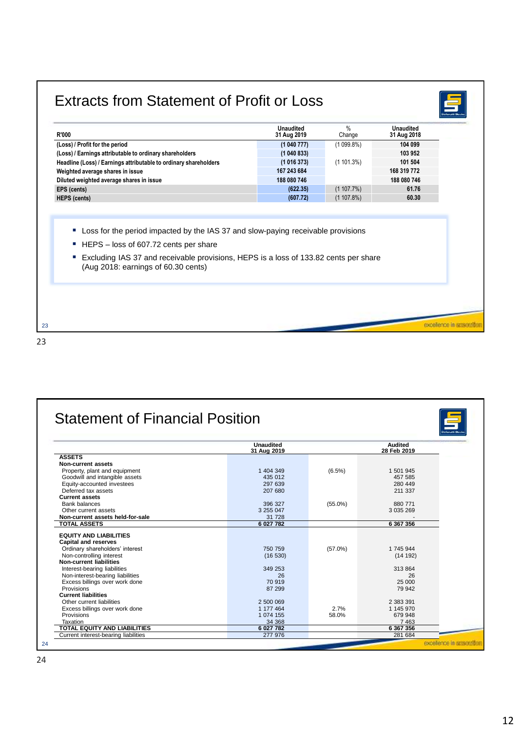| <b>R'000</b>                                                                                                                        | <b>Unaudited</b><br>31 Aug 2019 | $\%$<br>Change         | Unaudited<br>31 Aug 2018 |
|-------------------------------------------------------------------------------------------------------------------------------------|---------------------------------|------------------------|--------------------------|
| (Loss) / Profit for the period                                                                                                      | (1040777)                       | $(1099.8\%)$           | 104 099                  |
| (Loss) / Earnings attributable to ordinary shareholders                                                                             | (1040833)                       |                        | 103 952                  |
| Headline (Loss) / Earnings attributable to ordinary shareholders                                                                    | (1016373)                       | $(1101.3\%)$           | 101 504                  |
| Weighted average shares in issue                                                                                                    | 167 243 684                     |                        | 168 319 772              |
| Diluted weighted average shares in issue                                                                                            | 188 080 746                     |                        | 188 080 746              |
| EPS (cents)<br><b>HEPS</b> (cents)                                                                                                  | (622.35)<br>(607.72)            | (1107.7%)<br>(1107.8%) | 61.76<br>60.30           |
| Loss for the period impacted by the IAS 37 and slow-paying receivable provisions<br>ш<br>ш<br>HEPS – loss of 607.72 cents per share |                                 |                        |                          |
| Excluding IAS 37 and receivable provisions, HEPS is a loss of 133.82 cents per share<br>F<br>(Aug 2018: earnings of 60.30 cents)    |                                 |                        |                          |

|                                                            | <b>Unaudited</b><br>31 Aug 2019 |            | Audited<br>28 Feb 2019 |
|------------------------------------------------------------|---------------------------------|------------|------------------------|
| <b>ASSETS</b>                                              |                                 |            |                        |
| Non-current assets                                         |                                 |            |                        |
| Property, plant and equipment                              | 1 404 349                       | $(6.5\%)$  | 1 501 945              |
| Goodwill and intangible assets                             | 435 012                         |            | 457 585                |
| Equity-accounted investees                                 | 297 639                         |            | 280 449                |
| Deferred tax assets                                        | 207 680                         |            | 211 337                |
| <b>Current assets</b>                                      |                                 |            |                        |
| <b>Bank balances</b>                                       | 396 327                         | $(55.0\%)$ | 880 771                |
| Other current assets                                       | 3 255 047                       |            | 3 0 3 5 2 6 9          |
| Non-current assets held-for-sale                           | 31 728                          |            |                        |
| <b>TOTAL ASSETS</b>                                        | 6 027 782                       |            | 6 367 356              |
|                                                            |                                 |            |                        |
| <b>EQUITY AND LIABILITIES</b>                              |                                 |            |                        |
| Capital and reserves                                       | 750 759                         |            | 1 745 944              |
| Ordinary shareholders' interest                            |                                 | $(57.0\%)$ |                        |
| Non-controlling interest<br><b>Non-current liabilities</b> | (16530)                         |            | (14192)                |
| Interest-bearing liabilities                               | 349 253                         |            | 313 864                |
| Non-interest-bearing liabilities                           | 26                              |            | 26                     |
| Excess billings over work done                             | 70 919                          |            | 25 000                 |
| Provisions                                                 | 87 299                          |            | 79 942                 |
| <b>Current liabilities</b>                                 |                                 |            |                        |
| Other current liabilities                                  | 2 500 069                       |            | 2 383 391              |
| Excess billings over work done                             | 1 177 464                       | 2.7%       | 1 145 970              |
| Provisions                                                 | 1 074 155                       | 58.0%      | 679 948                |
| Taxation                                                   | 34 368                          |            | 7463                   |
| <b>TOTAL EQUITY AND LIABILITIES</b>                        | 6 027 782                       |            | 6 367 356              |
| Current interest-bearing liabilities                       | 277 976                         |            | 281 684                |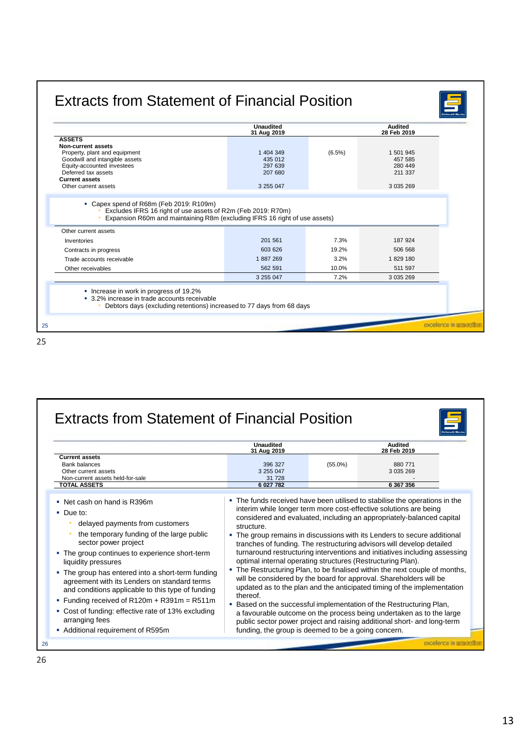| $(6.5\%)$ | 1 501 945<br>457 585<br>280 449<br>211 337                                                                           |
|-----------|----------------------------------------------------------------------------------------------------------------------|
|           |                                                                                                                      |
|           |                                                                                                                      |
|           | 3 035 269                                                                                                            |
|           |                                                                                                                      |
|           | 187 924                                                                                                              |
|           | 506 568                                                                                                              |
|           | 1829 180                                                                                                             |
|           | 511 597                                                                                                              |
|           | 3 0 3 5 2 6 9                                                                                                        |
|           | Expansion R60m and maintaining R8m (excluding IFRS 16 right of use assets)<br>7.3%<br>19.2%<br>3.2%<br>10.0%<br>7.2% |

|                                                                                                                                                                                                                                                                                                                                                                                                                                                                                                            | Unaudited<br>31 Aug 2019                                                              |            | <b>Audited</b><br>28 Feb 2019                                                                                                                                                                                                                                                                                                                                                                                                                                                                                                                                                                                                                                                                                                                                                                                                                                                                                         |
|------------------------------------------------------------------------------------------------------------------------------------------------------------------------------------------------------------------------------------------------------------------------------------------------------------------------------------------------------------------------------------------------------------------------------------------------------------------------------------------------------------|---------------------------------------------------------------------------------------|------------|-----------------------------------------------------------------------------------------------------------------------------------------------------------------------------------------------------------------------------------------------------------------------------------------------------------------------------------------------------------------------------------------------------------------------------------------------------------------------------------------------------------------------------------------------------------------------------------------------------------------------------------------------------------------------------------------------------------------------------------------------------------------------------------------------------------------------------------------------------------------------------------------------------------------------|
| <b>Current assets</b><br><b>Bank balances</b><br>Other current assets<br>Non-current assets held-for-sale<br><b>TOTAL ASSETS</b>                                                                                                                                                                                                                                                                                                                                                                           | 396 327<br>3 255 047<br>31 728<br>6 027 782                                           | $(55.0\%)$ | 880 771<br>3 035 269<br>6 367 356                                                                                                                                                                                                                                                                                                                                                                                                                                                                                                                                                                                                                                                                                                                                                                                                                                                                                     |
| • Net cash on hand is R396m<br>• Due to:<br>delayed payments from customers<br>the temporary funding of the large public<br>sector power project<br>• The group continues to experience short-term<br>liquidity pressures<br>• The group has entered into a short-term funding<br>agreement with its Lenders on standard terms<br>and conditions applicable to this type of funding<br>• Funding received of R120m + R391m = R511m<br>• Cost of funding: effective rate of 13% excluding<br>arranging fees | structure.<br>optimal internal operating structures (Restructuring Plan).<br>thereof. |            | . The funds received have been utilised to stabilise the operations in the<br>interim while longer term more cost-effective solutions are being<br>considered and evaluated, including an appropriately-balanced capital<br>• The group remains in discussions with its Lenders to secure additional<br>tranches of funding. The restructuring advisors will develop detailed<br>turnaround restructuring interventions and initiatives including assessing<br>• The Restructuring Plan, to be finalised within the next couple of months,<br>will be considered by the board for approval. Shareholders will be<br>updated as to the plan and the anticipated timing of the implementation<br>. Based on the successful implementation of the Restructuring Plan,<br>a favourable outcome on the process being undertaken as to the large<br>public sector power project and raising additional short- and long-term |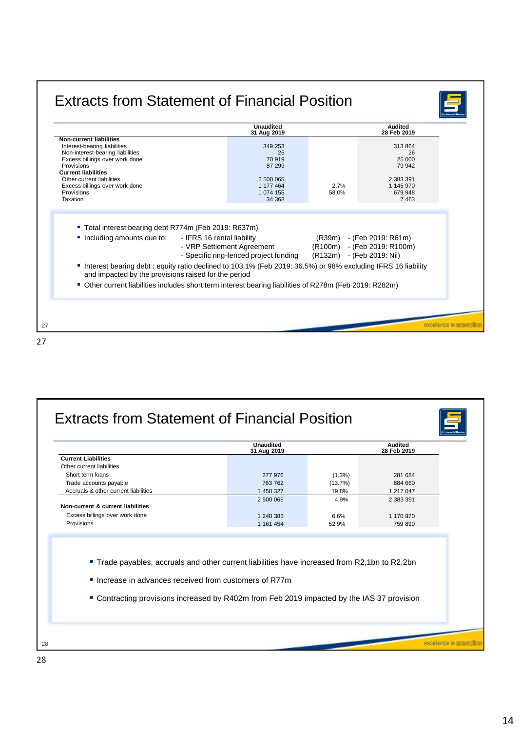|                                                                                                                                                                                                                                                                                                                                                                                                       | <b>Unaudited</b><br>31 Aug 2019                                          |                                                                   | <b>Audited</b><br>28 Feb 2019                                          |
|-------------------------------------------------------------------------------------------------------------------------------------------------------------------------------------------------------------------------------------------------------------------------------------------------------------------------------------------------------------------------------------------------------|--------------------------------------------------------------------------|-------------------------------------------------------------------|------------------------------------------------------------------------|
| <b>Non-current liabilities</b><br>Interest-bearing liabilities<br>Non-interest-bearing liabilities<br>Excess billings over work done<br>Provisions<br><b>Current liabilities</b><br>Other current liabilities<br>Excess billings over work done<br>Provisions                                                                                                                                         | 349 253<br>26<br>70 919<br>87 299<br>2 500 065<br>1 177 464<br>1 074 155 | 2.7%<br>58.0%                                                     | 313 864<br>26<br>25 000<br>79 942<br>2 383 391<br>1 145 970<br>679 948 |
| Taxation                                                                                                                                                                                                                                                                                                                                                                                              | 34 368                                                                   |                                                                   | 7463                                                                   |
| ■ Total interest bearing debt R774m (Feb 2019: R637m)<br>Including amounts due to:<br>- IFRS 16 rental liability<br>" Interest bearing debt : equity ratio declined to 103.1% (Feb 2019: 36.5%) or 98% excluding IFRS 16 liability<br>and impacted by the provisions raised for the period<br>■ Other current liabilities includes short term interest bearing liabilities of R278m (Feb 2019: R282m) | - VRP Settlement Agreement<br>- Specific ring-fenced project funding     | (R39m) - (Feb 2019: R61m)<br>(R100m)<br>(R132m) - (Feb 2019: Nil) | - (Feb 2019: R100m)                                                    |

| <b>Current Liabilities</b><br>Other current liabilities                                                                                                                                                                                             |           |           | 28 Feb 2019 |
|-----------------------------------------------------------------------------------------------------------------------------------------------------------------------------------------------------------------------------------------------------|-----------|-----------|-------------|
|                                                                                                                                                                                                                                                     |           |           |             |
|                                                                                                                                                                                                                                                     |           |           |             |
| Short term loans                                                                                                                                                                                                                                    | 277 976   | $(1.3\%)$ | 281 684     |
| Trade accounts payable                                                                                                                                                                                                                              | 763 762   | (13.7%)   | 884 660     |
| Accruals & other current liabilities                                                                                                                                                                                                                | 1 458 327 | 19.8%     | 1 217 047   |
|                                                                                                                                                                                                                                                     | 2 500 065 | 4.9%      | 2 383 391   |
| Non-current & current liabilities                                                                                                                                                                                                                   |           |           |             |
| Excess billings over work done                                                                                                                                                                                                                      | 1 248 383 | 6.6%      | 1 170 970   |
| Provisions                                                                                                                                                                                                                                          | 1 161 454 | 52.9%     | 759 890     |
| " Trade payables, accruals and other current liabilities have increased from R2,1bn to R2,2bn<br>Increase in advances received from customers of R77m<br>• Contracting provisions increased by R402m from Feb 2019 impacted by the IAS 37 provision |           |           |             |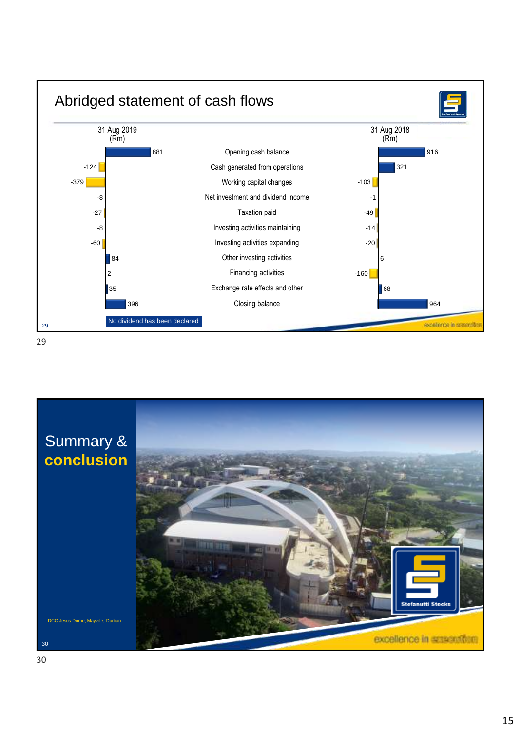

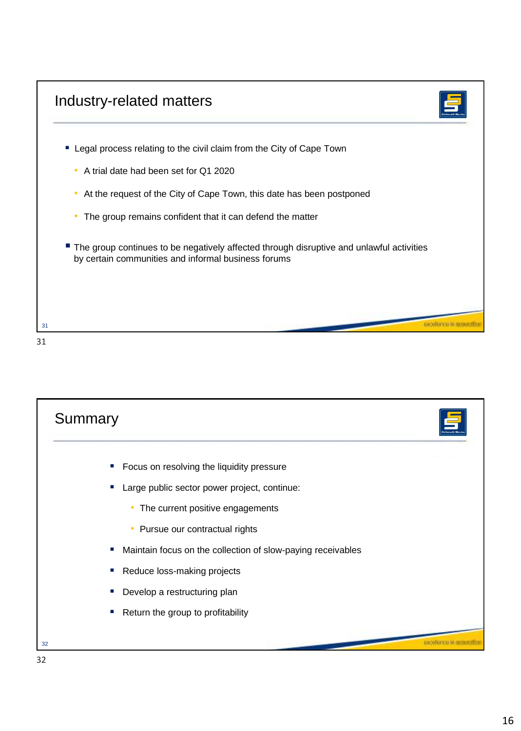



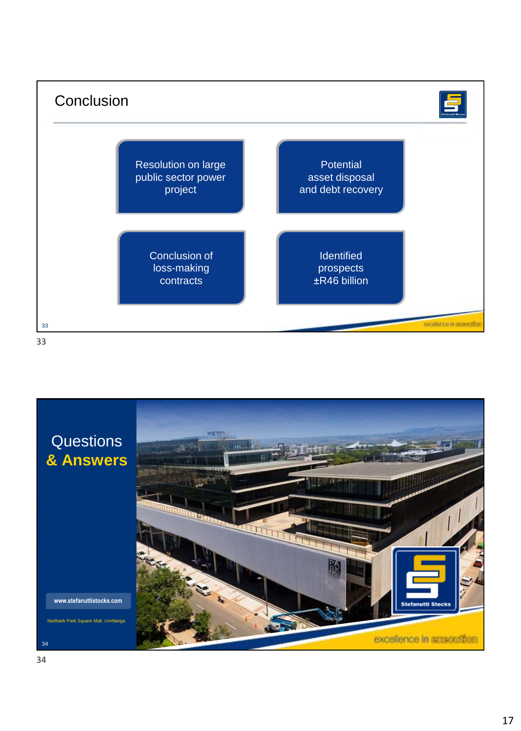